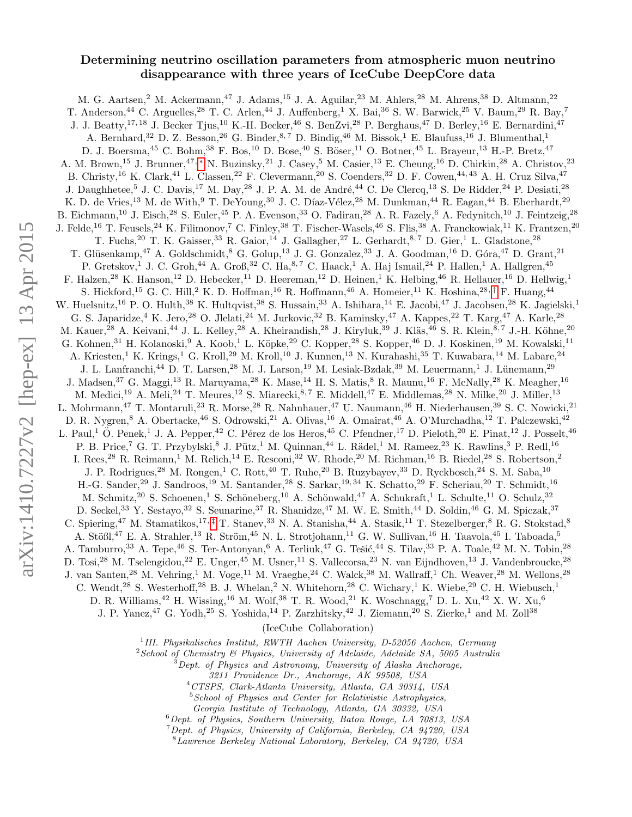# Determining neutrino oscillation parameters from atmospheric muon neutrino disappearance with three years of IceCube DeepCore data

M. G. Aartsen,<sup>2</sup> M. Ackermann,<sup>47</sup> J. Adams,<sup>15</sup> J. A. Aguilar,<sup>23</sup> M. Ahlers,<sup>28</sup> M. Ahrens,<sup>38</sup> D. Altmann,<sup>22</sup> T. Anderson,<sup>44</sup> C. Arguelles,<sup>28</sup> T. C. Arlen,<sup>44</sup> J. Auffenberg,<sup>1</sup> X. Bai,<sup>36</sup> S. W. Barwick,<sup>25</sup> V. Baum,<sup>29</sup> R. Bay,<sup>7</sup> J. J. Beatty,<sup>17, 18</sup> J. Becker Tjus,<sup>10</sup> K.-H. Becker,<sup>46</sup> S. BenZvi,<sup>28</sup> P. Berghaus,<sup>47</sup> D. Berley,<sup>16</sup> E. Bernardini,<sup>47</sup> A. Bernhard,<sup>32</sup> D. Z. Besson,<sup>26</sup> G. Binder,<sup>8,7</sup> D. Bindig,<sup>46</sup> M. Bissok,<sup>1</sup> E. Blaufuss,<sup>16</sup> J. Blumenthal,<sup>1</sup> D. J. Boersma,<sup>45</sup> C. Bohm,<sup>38</sup> F. Bos,<sup>10</sup> D. Bose,<sup>40</sup> S. Böser,<sup>11</sup> O. Botner,<sup>45</sup> L. Brayeur,<sup>13</sup> H.-P. Bretz,<sup>47</sup> A. M. Brown,<sup>15</sup> J. Brunner,<sup>47,</sup> \* N. Buzinsky,<sup>21</sup> J. Casey,<sup>5</sup> M. Casier,<sup>13</sup> E. Cheung,<sup>16</sup> D. Chirkin,<sup>28</sup> A. Christov,<sup>23</sup> B. Christy,<sup>16</sup> K. Clark,<sup>41</sup> L. Classen,<sup>22</sup> F. Clevermann,<sup>20</sup> S. Coenders,<sup>32</sup> D. F. Cowen,<sup>44,43</sup> A. H. Cruz Silva,<sup>47</sup> J. Daughhetee,<sup>5</sup> J. C. Davis,<sup>17</sup> M. Day,<sup>28</sup> J. P. A. M. de André,<sup>44</sup> C. De Clercq,<sup>13</sup> S. De Ridder,<sup>24</sup> P. Desiati,<sup>28</sup> K. D. de Vries,<sup>13</sup> M. de With,<sup>9</sup> T. DeYoung,<sup>30</sup> J. C. Díaz-Vélez,<sup>28</sup> M. Dunkman,<sup>44</sup> R. Eagan,<sup>44</sup> B. Eberhardt,<sup>29</sup> B. Eichmann,<sup>10</sup> J. Eisch,<sup>28</sup> S. Euler,<sup>45</sup> P. A. Evenson,<sup>33</sup> O. Fadiran,<sup>28</sup> A. R. Fazely,<sup>6</sup> A. Fedynitch,<sup>10</sup> J. Feintzeig,<sup>28</sup> J. Felde,<sup>16</sup> T. Feusels,<sup>24</sup> K. Filimonov,<sup>7</sup> C. Finley,<sup>38</sup> T. Fischer-Wasels,<sup>46</sup> S. Flis,<sup>38</sup> A. Franckowiak,<sup>11</sup> K. Frantzen,<sup>20</sup> T. Fuchs,<sup>20</sup> T. K. Gaisser,<sup>33</sup> R. Gaior,<sup>14</sup> J. Gallagher,<sup>27</sup> L. Gerhardt,<sup>8,7</sup> D. Gier,<sup>1</sup> L. Gladstone,<sup>28</sup> T. Glüsenkamp,<sup>47</sup> A. Goldschmidt,<sup>8</sup> G. Golup,<sup>13</sup> J. G. Gonzalez,<sup>33</sup> J. A. Goodman,<sup>16</sup> D. Góra,<sup>47</sup> D. Grant,<sup>21</sup> P. Gretskov,<sup>1</sup> J. C. Groh,<sup>44</sup> A. Groß,<sup>32</sup> C. Ha,<sup>8,7</sup> C. Haack,<sup>1</sup> A. Haj Ismail,<sup>24</sup> P. Hallen,<sup>1</sup> A. Hallgren,<sup>45</sup> F. Halzen,<sup>28</sup> K. Hanson,<sup>12</sup> D. Hebecker,<sup>11</sup> D. Heereman,<sup>12</sup> D. Heinen,<sup>1</sup> K. Helbing,<sup>46</sup> R. Hellauer,<sup>16</sup> D. Hellwig,<sup>1</sup> S. Hickford,<sup>15</sup> G. C. Hill,<sup>2</sup> K. D. Hoffman,<sup>16</sup> R. Hoffmann,<sup>46</sup> A. Homeier,<sup>11</sup> K. Hoshina,<sup>28,[†](#page-1-1)</sup> F. Huang,<sup>44</sup> W. Huelsnitz,<sup>16</sup> P. O. Hulth,<sup>38</sup> K. Hultqvist,<sup>38</sup> S. Hussain,<sup>33</sup> A. Ishihara,<sup>14</sup> E. Jacobi,<sup>47</sup> J. Jacobsen,<sup>28</sup> K. Jagielski,<sup>1</sup> G. S. Japaridze,<sup>4</sup> K. Jero,<sup>28</sup> O. Jlelati,<sup>24</sup> M. Jurkovic,<sup>32</sup> B. Kaminsky,<sup>47</sup> A. Kappes,<sup>22</sup> T. Karg,<sup>47</sup> A. Karle,<sup>28</sup> M. Kauer,<sup>28</sup> A. Keivani,<sup>44</sup> J. L. Kelley,<sup>28</sup> A. Kheirandish,<sup>28</sup> J. Kiryluk,<sup>39</sup> J. Kläs,<sup>46</sup> S. R. Klein,<sup>8,7</sup> J.-H. Köhne,<sup>20</sup> G. Kohnen,<sup>31</sup> H. Kolanoski,<sup>9</sup> A. Koob,<sup>1</sup> L. Köpke,<sup>29</sup> C. Kopper,<sup>28</sup> S. Kopper,<sup>46</sup> D. J. Koskinen,<sup>19</sup> M. Kowalski,<sup>11</sup> A. Kriesten,<sup>1</sup> K. Krings,<sup>1</sup> G. Kroll,<sup>29</sup> M. Kroll,<sup>10</sup> J. Kunnen,<sup>13</sup> N. Kurahashi,<sup>35</sup> T. Kuwabara,<sup>14</sup> M. Labare,<sup>24</sup> J. L. Lanfranchi,<sup>44</sup> D. T. Larsen,<sup>28</sup> M. J. Larson,<sup>19</sup> M. Lesiak-Bzdak,<sup>39</sup> M. Leuermann,<sup>1</sup> J. Lünemann,<sup>29</sup> J. Madsen,<sup>37</sup> G. Maggi,<sup>13</sup> R. Maruyama,<sup>28</sup> K. Mase,<sup>14</sup> H. S. Matis,<sup>8</sup> R. Maunu,<sup>16</sup> F. McNally,<sup>28</sup> K. Meagher,<sup>16</sup> M. Medici,<sup>19</sup> A. Meli,<sup>24</sup> T. Meures,<sup>12</sup> S. Miarecki,<sup>8,7</sup> E. Middell,<sup>47</sup> E. Middlemas,<sup>28</sup> N. Milke,<sup>20</sup> J. Miller,<sup>13</sup> L. Mohrmann,<sup>47</sup> T. Montaruli,<sup>23</sup> R. Morse,<sup>28</sup> R. Nahnhauer,<sup>47</sup> U. Naumann,<sup>46</sup> H. Niederhausen,<sup>39</sup> S. C. Nowicki,<sup>21</sup> D. R. Nygren,<sup>8</sup> A. Obertacke,<sup>46</sup> S. Odrowski,<sup>21</sup> A. Olivas,<sup>16</sup> A. Omairat,<sup>46</sup> A. O'Murchadha,<sup>12</sup> T. Palczewski,<sup>42</sup> L. Paul,<sup>1</sup> O. Penek,<sup>1</sup> J. A. Pepper,<sup>42</sup> C. Pérez de los Heros,<sup>45</sup> C. Pfendner,<sup>17</sup> D. Pieloth,<sup>20</sup> E. Pinat,<sup>12</sup> J. Posselt,<sup>46</sup> P. B. Price,<sup>7</sup> G. T. Przybylski,<sup>8</sup> J. Pütz,<sup>1</sup> M. Quinnan,<sup>44</sup> L. Rädel,<sup>1</sup> M. Rameez,<sup>23</sup> K. Rawlins,<sup>3</sup> P. Redl,<sup>16</sup> I. Rees,<sup>28</sup> R. Reimann,<sup>1</sup> M. Relich,<sup>14</sup> E. Resconi,<sup>32</sup> W. Rhode,<sup>20</sup> M. Richman,<sup>16</sup> B. Riedel,<sup>28</sup> S. Robertson,<sup>2</sup> J. P. Rodrigues,<sup>28</sup> M. Rongen,<sup>1</sup> C. Rott,<sup>40</sup> T. Ruhe,<sup>20</sup> B. Ruzybayev,<sup>33</sup> D. Ryckbosch,<sup>24</sup> S. M. Saba,<sup>10</sup> H.-G. Sander,<sup>29</sup> J. Sandroos,<sup>19</sup> M. Santander,<sup>28</sup> S. Sarkar,<sup>19, 34</sup> K. Schatto,<sup>29</sup> F. Scheriau,<sup>20</sup> T. Schmidt,<sup>16</sup> M. Schmitz,<sup>20</sup> S. Schoenen,<sup>1</sup> S. Schöneberg,<sup>10</sup> A. Schönwald,<sup>47</sup> A. Schukraft,<sup>1</sup> L. Schulte,<sup>11</sup> O. Schulz,<sup>32</sup> D. Seckel,<sup>33</sup> Y. Sestayo,<sup>32</sup> S. Seunarine,<sup>37</sup> R. Shanidze,<sup>47</sup> M. W. E. Smith,<sup>44</sup> D. Soldin,<sup>46</sup> G. M. Spiczak,<sup>37</sup> C. Spiering,<sup>47</sup> M. Stamatikos,<sup>17, [‡](#page-1-2)</sup> T. Stanev,<sup>33</sup> N. A. Stanisha,<sup>44</sup> A. Stasik,<sup>11</sup> T. Stezelberger,<sup>8</sup> R. G. Stokstad,<sup>8</sup> A. Stößl,<sup>47</sup> E. A. Strahler,<sup>13</sup> R. Ström,<sup>45</sup> N. L. Strotjohann,<sup>11</sup> G. W. Sullivan,<sup>16</sup> H. Taavola,<sup>45</sup> I. Taboada,<sup>5</sup> A. Tamburro,<sup>33</sup> A. Tepe,<sup>46</sup> S. Ter-Antonyan,<sup>6</sup> A. Terliuk,<sup>47</sup> G. Tešić,<sup>44</sup> S. Tilav,<sup>33</sup> P. A. Toale,<sup>42</sup> M. N. Tobin,<sup>28</sup> D. Tosi,<sup>28</sup> M. Tselengidou,<sup>22</sup> E. Unger,<sup>45</sup> M. Usner,<sup>11</sup> S. Vallecorsa,<sup>23</sup> N. van Eijndhoven,<sup>13</sup> J. Vandenbroucke,<sup>28</sup> J. van Santen,<sup>28</sup> M. Vehring,<sup>1</sup> M. Voge,<sup>11</sup> M. Vraeghe,<sup>24</sup> C. Walck,<sup>38</sup> M. Wallraff,<sup>1</sup> Ch. Weaver,<sup>28</sup> M. Wellons,<sup>28</sup> C. Wendt,<sup>28</sup> S. Westerhoff,<sup>28</sup> B. J. Whelan,<sup>2</sup> N. Whitehorn,<sup>28</sup> C. Wichary,<sup>1</sup> K. Wiebe,<sup>29</sup> C. H. Wiebusch,<sup>1</sup> D. R. Williams,  $^{42}$  H. Wissing,  $^{16}$  M. Wolf,  $^{38}$  T. R. Wood,  $^{21}$  K. Woschnagg,  $^7$  D. L. Xu,  $^{42}$  X. W. Xu,  $^{6}$ J. P. Yanez,<sup>47</sup> G. Yodh,<sup>25</sup> S. Yoshida,<sup>14</sup> P. Zarzhitsky,<sup>42</sup> J. Ziemann,<sup>20</sup> S. Zierke,<sup>1</sup> and M. Zoll<sup>38</sup> (IceCube Collaboration)

<sup>1</sup>III. Physikalisches Institut, RWTH Aachen University, D-52056 Aachen, Germany

 $2$ School of Chemistry  $\mathcal B$  Physics, University of Adelaide, Adelaide SA, 5005 Australia

Dept. of Physics and Astronomy, University of Alaska Anchorage,

3211 Providence Dr., Anchorage, AK 99508, USA

<sup>4</sup>CTSPS, Clark-Atlanta University, Atlanta, GA 30314, USA

 $5$  School of Physics and Center for Relativistic Astrophysics,

Georgia Institute of Technology, Atlanta, GA 30332, USA

<sup>6</sup>Dept. of Physics, Southern University, Baton Rouge, LA 70813, USA

 $7$  Dept. of Physics, University of California, Berkeley, CA 94720, USA

<sup>8</sup>Lawrence Berkeley National Laboratory, Berkeley, CA 94720, USA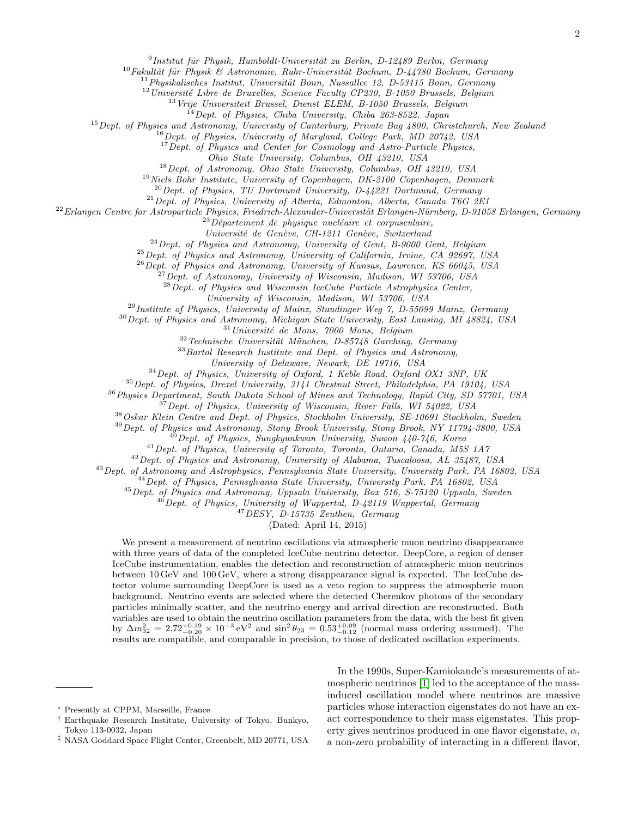$^9$ Institut für Physik, Humboldt-Universität zu Berlin, D-12489 Berlin, Germany

 $10$ Fakultät für Physik & Astronomie, Ruhr-Universität Bochum, D-44780 Bochum, Germany

 $11$ Physikalisches Institut, Universität Bonn, Nussallee 12, D-53115 Bonn, Germany

 $12$ Université Libre de Bruxelles, Science Faculty CP230, B-1050 Brussels, Belgium

<sup>13</sup> Vrije Universiteit Brussel, Dienst ELEM, B-1050 Brussels, Belgium

<sup>14</sup>Dept. of Physics, Chiba University, Chiba 263-8522, Japan

<sup>15</sup> Dept. of Physics and Astronomy, University of Canterbury, Private Bag 4800, Christchurch, New Zealand

<sup>16</sup> Dept. of Physics, University of Maryland, College Park, MD 20742, USA

 $17$  Dept. of Physics and Center for Cosmology and Astro-Particle Physics,

Ohio State University, Columbus, OH 43210, USA

<sup>18</sup>Dept. of Astronomy, Ohio State University, Columbus, OH 43210, USA

<sup>19</sup> Niels Bohr Institute, University of Copenhagen, DK-2100 Copenhagen, Denmark

 $^{20}$ Dept. of Physics, TU Dortmund University, D-44221 Dortmund, Germany

 $^{21}$  Dept. of Physics, University of Alberta, Edmonton, Alberta, Canada T6G 2E1

 $22$ Erlangen Centre for Astroparticle Physics, Friedrich-Alexander-Universität Erlangen-Nürnberg, D-91058 Erlangen, Germany

 $^{23}D\acute{e}partement$  de physique nucléaire et corpusculaire,

Université de Genève, CH-1211 Genève, Switzerland

 $^{24}$ Dept. of Physics and Astronomy, University of Gent, B-9000 Gent, Belgium

 $^{25}$  Dept. of Physics and Astronomy, University of California, Irvine, CA 92697, USA

 $^{26}$ Dept. of Physics and Astronomy, University of Kansas, Lawrence, KS 66045, USA

 $^{27}$ Dept. of Astronomy, University of Wisconsin, Madison, WI 53706, USA

 $28$  Dept. of Physics and Wisconsin IceCube Particle Astrophysics Center,

University of Wisconsin, Madison, WI 53706, USA

<sup>29</sup> Institute of Physics, University of Mainz, Staudinger Weg 7, D-55099 Mainz, Germany

<sup>30</sup>Dept. of Physics and Astronomy, Michigan State University, East Lansing, MI 48824, USA

 $31$ Université de Mons, 7000 Mons, Belgium

 $32 Technische University in theorem, D-85748 Garching, Germany$ 

 $33$ Bartol Research Institute and Dept. of Physics and Astronomy,

University of Delaware, Newark, DE 19716, USA

 $34$  Dept. of Physics, University of Oxford, 1 Keble Road, Oxford OX1 3NP, UK

<sup>35</sup>Dept. of Physics, Drexel University, 3141 Chestnut Street, Philadelphia, PA 19104, USA

<sup>36</sup>Physics Department, South Dakota School of Mines and Technology, Rapid City, SD 57701, USA

 $37$  Dept. of Physics, University of Wisconsin, River Falls, WI 54022, USA

<sup>38</sup>Oskar Klein Centre and Dept. of Physics, Stockholm University, SE-10691 Stockholm, Sweden

<sup>39</sup> Dept. of Physics and Astronomy, Stony Brook University, Stony Brook, NY 11794-3800, USA

 $^{40}$ Dept. of Physics, Sungkyunkwan University, Suwon 440-746, Korea

<sup>41</sup>Dept. of Physics, University of Toronto, Toronto, Ontario, Canada, M5S 1A7

<sup>42</sup>Dept. of Physics and Astronomy, University of Alabama, Tuscaloosa, AL 35487, USA

<sup>43</sup>Dept. of Astronomy and Astrophysics, Pennsylvania State University, University Park, PA 16802, USA

 $^{44}$ Dept. of Physics, Pennsylvania State University, University Park, PA 16802, USA

 $^{45}$  Dept. of Physics and Astronomy, Uppsala University, Box 516, S-75120 Uppsala, Sweden

<sup>46</sup> Dept. of Physics, University of Wuppertal, D-42119 Wuppertal, Germany

<sup>47</sup>DESY, D-15735 Zeuthen, Germany

(Dated: April 14, 2015)

We present a measurement of neutrino oscillations via atmospheric muon neutrino disappearance with three years of data of the completed IceCube neutrino detector. DeepCore, a region of denser IceCube instrumentation, enables the detection and reconstruction of atmospheric muon neutrinos between 10 GeV and 100 GeV, where a strong disappearance signal is expected. The IceCube detector volume surrounding DeepCore is used as a veto region to suppress the atmospheric muon background. Neutrino events are selected where the detected Cherenkov photons of the secondary particles minimally scatter, and the neutrino energy and arrival direction are reconstructed. Both variables are used to obtain the neutrino oscillation parameters from the data, with the best fit given by  $\Delta m_{32}^2 = 2.72_{-0.20}^{+0.19} \times 10^{-3} \text{ eV}^2$  and  $\sin^2 \theta_{23} = 0.53_{-0.12}^{+0.09}$  (normal mass ordering assumed). The results are compatible, and comparable in precision, to those of dedicated oscillation experiments.

In the 1990s, Super-Kamiokande's measurements of atmospheric neutrinos [\[1\]](#page-8-0) led to the acceptance of the massinduced oscillation model where neutrinos are massive particles whose interaction eigenstates do not have an exact correspondence to their mass eigenstates. This property gives neutrinos produced in one flavor eigenstate,  $\alpha$ , a non-zero probability of interacting in a different flavor,

<span id="page-1-0"></span><sup>∗</sup> Presently at CPPM, Marseille, France

<span id="page-1-1"></span><sup>†</sup> Earthquake Research Institute, University of Tokyo, Bunkyo, Tokyo 113-0032, Japan

<span id="page-1-2"></span><sup>‡</sup> NASA Goddard Space Flight Center, Greenbelt, MD 20771, USA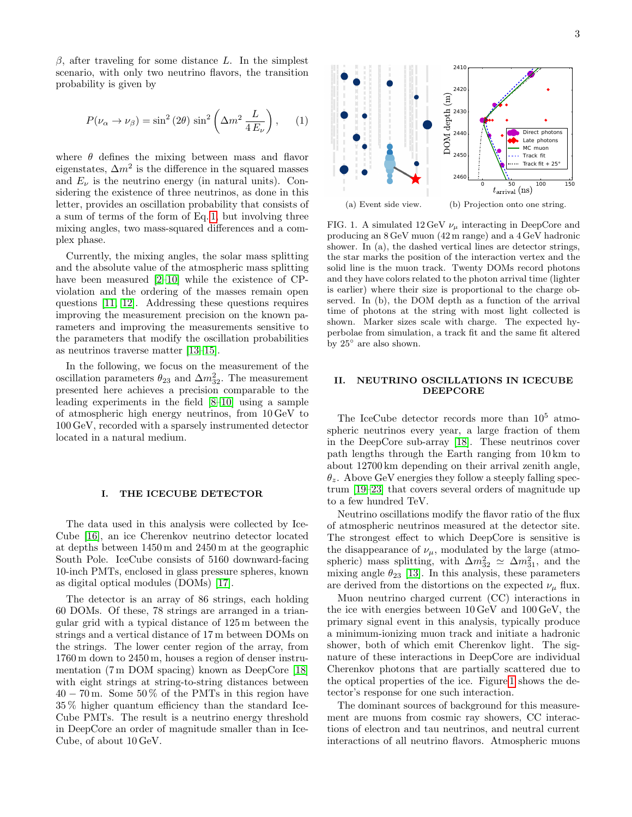$\beta$ , after traveling for some distance L. In the simplest scenario, with only two neutrino flavors, the transition probability is given by

<span id="page-2-0"></span>
$$
P(\nu_{\alpha} \to \nu_{\beta}) = \sin^2(2\theta) \sin^2\left(\Delta m^2 \frac{L}{4 E_{\nu}}\right), \quad (1)
$$

where  $\theta$  defines the mixing between mass and flavor eigenstates,  $\Delta m^2$  is the difference in the squared masses and  $E_{\nu}$  is the neutrino energy (in natural units). Considering the existence of three neutrinos, as done in this letter, provides an oscillation probability that consists of a sum of terms of the form of Eq. [1,](#page-2-0) but involving three mixing angles, two mass-squared differences and a complex phase.

Currently, the mixing angles, the solar mass splitting and the absolute value of the atmospheric mass splitting have been measured [\[2–](#page-8-1)[10\]](#page-8-2) while the existence of CPviolation and the ordering of the masses remain open questions [\[11,](#page-8-3) [12\]](#page-8-4). Addressing these questions requires improving the measurement precision on the known parameters and improving the measurements sensitive to the parameters that modify the oscillation probabilities as neutrinos traverse matter [\[13–](#page-8-5)[15\]](#page-8-6).

In the following, we focus on the measurement of the oscillation parameters  $\theta_{23}$  and  $\Delta m_{32}^2$ . The measurement presented here achieves a precision comparable to the leading experiments in the field [\[8](#page-8-7)[–10\]](#page-8-2) using a sample of atmospheric high energy neutrinos, from 10 GeV to 100 GeV, recorded with a sparsely instrumented detector located in a natural medium.

# I. THE ICECUBE DETECTOR

The data used in this analysis were collected by Ice-Cube [\[16\]](#page-8-8), an ice Cherenkov neutrino detector located at depths between 1450 m and 2450 m at the geographic South Pole. IceCube consists of 5160 downward-facing 10-inch PMTs, enclosed in glass pressure spheres, known as digital optical modules (DOMs) [\[17\]](#page-8-9).

The detector is an array of 86 strings, each holding 60 DOMs. Of these, 78 strings are arranged in a triangular grid with a typical distance of 125 m between the strings and a vertical distance of 17 m between DOMs on the strings. The lower center region of the array, from 1760 m down to 2450 m, houses a region of denser instrumentation (7 m DOM spacing) known as DeepCore [\[18\]](#page-8-10) with eight strings at string-to-string distances between  $40 - 70$  m. Some  $50\%$  of the PMTs in this region have 35 % higher quantum efficiency than the standard Ice-Cube PMTs. The result is a neutrino energy threshold in DeepCore an order of magnitude smaller than in Ice-Cube, of about 10 GeV.

<span id="page-2-2"></span>

<span id="page-2-3"></span><span id="page-2-1"></span>FIG. 1. A simulated 12 GeV  $\nu_{\mu}$  interacting in DeepCore and producing an 8 GeV muon (42 m range) and a 4 GeV hadronic shower. In (a), the dashed vertical lines are detector strings, the star marks the position of the interaction vertex and the solid line is the muon track. Twenty DOMs record photons and they have colors related to the photon arrival time (lighter is earlier) where their size is proportional to the charge observed. In (b), the DOM depth as a function of the arrival time of photons at the string with most light collected is shown. Marker sizes scale with charge. The expected hyperbolae from simulation, a track fit and the same fit altered by  $25^{\circ}$  are also shown.

# II. NEUTRINO OSCILLATIONS IN ICECUBE DEEPCORE

The IceCube detector records more than  $10^5$  atmospheric neutrinos every year, a large fraction of them in the DeepCore sub-array [\[18\]](#page-8-10). These neutrinos cover path lengths through the Earth ranging from 10 km to about 12700 km depending on their arrival zenith angle,  $\theta_z$ . Above GeV energies they follow a steeply falling spectrum [\[19–](#page-8-11)[23\]](#page-8-12) that covers several orders of magnitude up to a few hundred TeV.

Neutrino oscillations modify the flavor ratio of the flux of atmospheric neutrinos measured at the detector site. The strongest effect to which DeepCore is sensitive is the disappearance of  $\nu_{\mu}$ , modulated by the large (atmospheric) mass splitting, with  $\Delta m_{32}^2 \simeq \Delta m_{31}^2$ , and the mixing angle  $\theta_{23}$  [\[13\]](#page-8-5). In this analysis, these parameters are derived from the distortions on the expected  $\nu_{\mu}$  flux.

Muon neutrino charged current (CC) interactions in the ice with energies between 10 GeV and 100 GeV, the primary signal event in this analysis, typically produce a minimum-ionizing muon track and initiate a hadronic shower, both of which emit Cherenkov light. The signature of these interactions in DeepCore are individual Cherenkov photons that are partially scattered due to the optical properties of the ice. Figure [1](#page-2-1) shows the detector's response for one such interaction.

The dominant sources of background for this measurement are muons from cosmic ray showers, CC interactions of electron and tau neutrinos, and neutral current interactions of all neutrino flavors. Atmospheric muons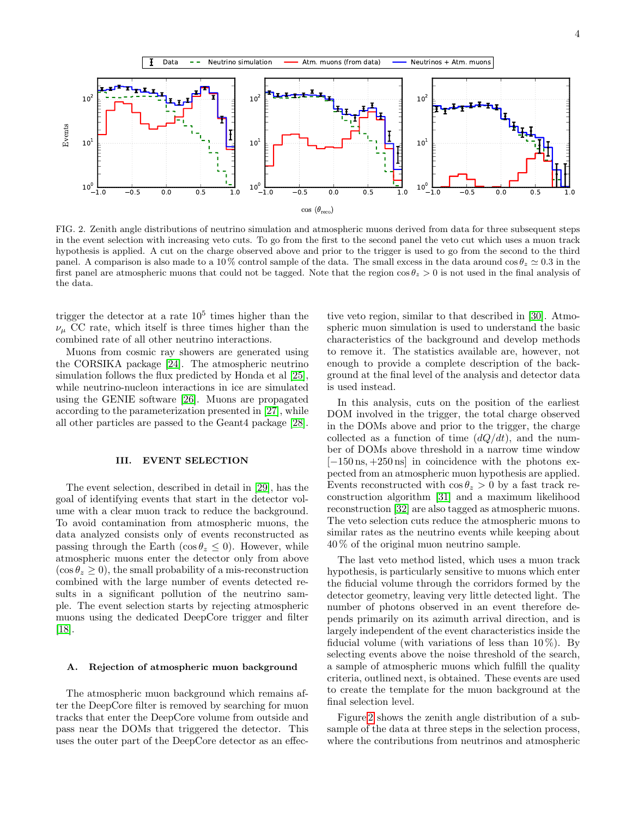

<span id="page-3-0"></span>FIG. 2. Zenith angle distributions of neutrino simulation and atmospheric muons derived from data for three subsequent steps in the event selection with increasing veto cuts. To go from the first to the second panel the veto cut which uses a muon track hypothesis is applied. A cut on the charge observed above and prior to the trigger is used to go from the second to the third panel. A comparison is also made to a  $10\%$  control sample of the data. The small excess in the data around  $\cos \theta_z \simeq 0.3$  in the first panel are atmospheric muons that could not be tagged. Note that the region  $\cos \theta_z > 0$  is not used in the final analysis of the data.

trigger the detector at a rate  $10^5$  times higher than the  $\nu_{\mu}$  CC rate, which itself is three times higher than the combined rate of all other neutrino interactions.

Muons from cosmic ray showers are generated using the CORSIKA package [\[24\]](#page-8-13). The atmospheric neutrino simulation follows the flux predicted by Honda et al [\[25\]](#page-8-14), while neutrino-nucleon interactions in ice are simulated using the GENIE software [\[26\]](#page-8-15). Muons are propagated according to the parameterization presented in [\[27\]](#page-8-16), while all other particles are passed to the Geant4 package [\[28\]](#page-8-17).

### III. EVENT SELECTION

The event selection, described in detail in [\[29\]](#page-8-18), has the goal of identifying events that start in the detector volume with a clear muon track to reduce the background. To avoid contamination from atmospheric muons, the data analyzed consists only of events reconstructed as passing through the Earth ( $\cos \theta_z \leq 0$ ). However, while atmospheric muons enter the detector only from above  $(\cos \theta_z \geq 0)$ , the small probability of a mis-reconstruction combined with the large number of events detected results in a significant pollution of the neutrino sample. The event selection starts by rejecting atmospheric muons using the dedicated DeepCore trigger and filter [\[18\]](#page-8-10).

#### A. Rejection of atmospheric muon background

The atmospheric muon background which remains after the DeepCore filter is removed by searching for muon tracks that enter the DeepCore volume from outside and pass near the DOMs that triggered the detector. This uses the outer part of the DeepCore detector as an effec-

tive veto region, similar to that described in [\[30\]](#page-8-19). Atmospheric muon simulation is used to understand the basic characteristics of the background and develop methods to remove it. The statistics available are, however, not enough to provide a complete description of the background at the final level of the analysis and detector data is used instead.

In this analysis, cuts on the position of the earliest DOM involved in the trigger, the total charge observed in the DOMs above and prior to the trigger, the charge collected as a function of time  $(dQ/dt)$ , and the number of DOMs above threshold in a narrow time window  $[-150 \text{ ns}, +250 \text{ ns}]$  in coincidence with the photons expected from an atmospheric muon hypothesis are applied. Events reconstructed with  $\cos \theta_z > 0$  by a fast track reconstruction algorithm [\[31\]](#page-8-20) and a maximum likelihood reconstruction [\[32\]](#page-8-21) are also tagged as atmospheric muons. The veto selection cuts reduce the atmospheric muons to similar rates as the neutrino events while keeping about 40 % of the original muon neutrino sample.

The last veto method listed, which uses a muon track hypothesis, is particularly sensitive to muons which enter the fiducial volume through the corridors formed by the detector geometry, leaving very little detected light. The number of photons observed in an event therefore depends primarily on its azimuth arrival direction, and is largely independent of the event characteristics inside the fiducial volume (with variations of less than  $10\%$ ). By selecting events above the noise threshold of the search, a sample of atmospheric muons which fulfill the quality criteria, outlined next, is obtained. These events are used to create the template for the muon background at the final selection level.

Figure [2](#page-3-0) shows the zenith angle distribution of a subsample of the data at three steps in the selection process, where the contributions from neutrinos and atmospheric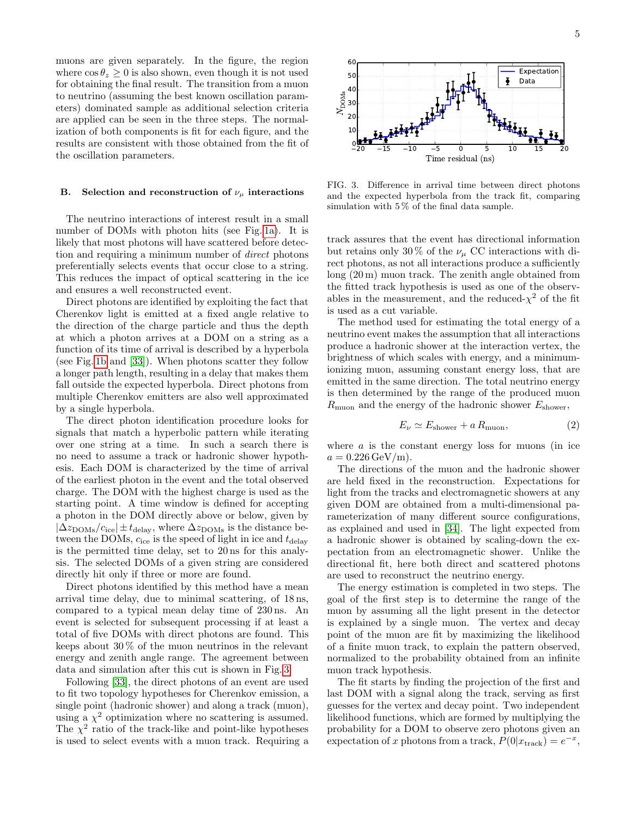muons are given separately. In the figure, the region where  $\cos \theta_z \geq 0$  is also shown, even though it is not used for obtaining the final result. The transition from a muon to neutrino (assuming the best known oscillation parameters) dominated sample as additional selection criteria are applied can be seen in the three steps. The normalization of both components is fit for each figure, and the results are consistent with those obtained from the fit of the oscillation parameters.

#### B. Selection and reconstruction of  $\nu_{\mu}$  interactions

The neutrino interactions of interest result in a small number of DOMs with photon hits (see Fig. [1a\)](#page-2-2). It is likely that most photons will have scattered before detection and requiring a minimum number of direct photons preferentially selects events that occur close to a string. This reduces the impact of optical scattering in the ice and ensures a well reconstructed event.

Direct photons are identified by exploiting the fact that Cherenkov light is emitted at a fixed angle relative to the direction of the charge particle and thus the depth at which a photon arrives at a DOM on a string as a function of its time of arrival is described by a hyperbola (see Fig. [1b](#page-2-3) and [\[33\]](#page-8-22)). When photons scatter they follow a longer path length, resulting in a delay that makes them fall outside the expected hyperbola. Direct photons from multiple Cherenkov emitters are also well approximated by a single hyperbola.

The direct photon identification procedure looks for signals that match a hyperbolic pattern while iterating over one string at a time. In such a search there is no need to assume a track or hadronic shower hypothesis. Each DOM is characterized by the time of arrival of the earliest photon in the event and the total observed charge. The DOM with the highest charge is used as the starting point. A time window is defined for accepting a photon in the DOM directly above or below, given by  $|\Delta z_{\text{DOMs}}/c_{\text{ice}}| \pm t_{\text{delay}}$ , where  $\Delta z_{\text{DOMs}}$  is the distance between the DOMs,  $c_{\text{ice}}$  is the speed of light in ice and  $t_{\text{delay}}$ is the permitted time delay, set to 20 ns for this analysis. The selected DOMs of a given string are considered directly hit only if three or more are found.

Direct photons identified by this method have a mean arrival time delay, due to minimal scattering, of 18 ns, compared to a typical mean delay time of 230 ns. An event is selected for subsequent processing if at least a total of five DOMs with direct photons are found. This keeps about 30 % of the muon neutrinos in the relevant energy and zenith angle range. The agreement between data and simulation after this cut is shown in Fig. [3.](#page-4-0)

Following [\[33\]](#page-8-22), the direct photons of an event are used to fit two topology hypotheses for Cherenkov emission, a single point (hadronic shower) and along a track (muon), using a  $\chi^2$  optimization where no scattering is assumed. The  $\chi^2$  ratio of the track-like and point-like hypotheses is used to select events with a muon track. Requiring a

5



<span id="page-4-0"></span>FIG. 3. Difference in arrival time between direct photons and the expected hyperbola from the track fit, comparing simulation with 5 % of the final data sample.

track assures that the event has directional information but retains only 30 % of the  $\nu_{\mu}$  CC interactions with direct photons, as not all interactions produce a sufficiently long (20 m) muon track. The zenith angle obtained from the fitted track hypothesis is used as one of the observables in the measurement, and the reduced- $\chi^2$  of the fit is used as a cut variable.

The method used for estimating the total energy of a neutrino event makes the assumption that all interactions produce a hadronic shower at the interaction vertex, the brightness of which scales with energy, and a minimumionizing muon, assuming constant energy loss, that are emitted in the same direction. The total neutrino energy is then determined by the range of the produced muon  $R_{\text{muon}}$  and the energy of the hadronic shower  $E_{\text{shower}}$ ,

<span id="page-4-1"></span>
$$
E_{\nu} \simeq E_{\text{shower}} + a R_{\text{muon}}, \tag{2}
$$

where  $\alpha$  is the constant energy loss for muons (in ice  $a = 0.226 \,\text{GeV/m}$ .

The directions of the muon and the hadronic shower are held fixed in the reconstruction. Expectations for light from the tracks and electromagnetic showers at any given DOM are obtained from a multi-dimensional parameterization of many different source configurations, as explained and used in [\[34\]](#page-8-23). The light expected from a hadronic shower is obtained by scaling-down the expectation from an electromagnetic shower. Unlike the directional fit, here both direct and scattered photons are used to reconstruct the neutrino energy.

The energy estimation is completed in two steps. The goal of the first step is to determine the range of the muon by assuming all the light present in the detector is explained by a single muon. The vertex and decay point of the muon are fit by maximizing the likelihood of a finite muon track, to explain the pattern observed, normalized to the probability obtained from an infinite muon track hypothesis.

The fit starts by finding the projection of the first and last DOM with a signal along the track, serving as first guesses for the vertex and decay point. Two independent likelihood functions, which are formed by multiplying the probability for a DOM to observe zero photons given an expectation of x photons from a track,  $P(0|x_{\text{track}}) = e^{-x}$ ,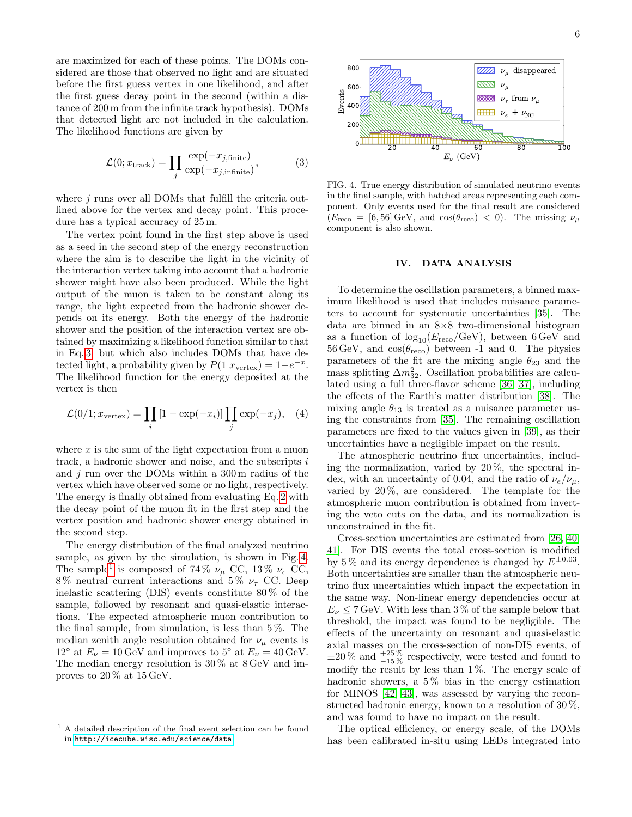are maximized for each of these points. The DOMs considered are those that observed no light and are situated before the first guess vertex in one likelihood, and after the first guess decay point in the second (within a distance of 200 m from the infinite track hypothesis). DOMs that detected light are not included in the calculation. The likelihood functions are given by

<span id="page-5-0"></span>
$$
\mathcal{L}(0; x_{\text{track}}) = \prod_{j} \frac{\exp(-x_{j,\text{finite}})}{\exp(-x_{j,\text{infinite}})},
$$
\n(3)

where  $j$  runs over all DOMs that fulfill the criteria outlined above for the vertex and decay point. This procedure has a typical accuracy of 25 m.

The vertex point found in the first step above is used as a seed in the second step of the energy reconstruction where the aim is to describe the light in the vicinity of the interaction vertex taking into account that a hadronic shower might have also been produced. While the light output of the muon is taken to be constant along its range, the light expected from the hadronic shower depends on its energy. Both the energy of the hadronic shower and the position of the interaction vertex are obtained by maximizing a likelihood function similar to that in Eq. [3,](#page-5-0) but which also includes DOMs that have detected light, a probability given by  $P(1|x_{\text{vertex}}) = 1-e^{-x}$ . The likelihood function for the energy deposited at the vertex is then

$$
\mathcal{L}(0/1; x_{\text{vertex}}) = \prod_{i} \left[1 - \exp(-x_i)\right] \prod_{j} \exp(-x_j), \quad (4)
$$

where  $x$  is the sum of the light expectation from a muon track, a hadronic shower and noise, and the subscripts i and  $j$  run over the DOMs within a 300 m radius of the vertex which have observed some or no light, respectively. The energy is finally obtained from evaluating Eq. [2](#page-4-1) with the decay point of the muon fit in the first step and the vertex position and hadronic shower energy obtained in the second step.

The energy distribution of the final analyzed neutrino sample, as given by the simulation, is shown in Fig. [4.](#page-5-1) The sample<sup>[1](#page-5-2)</sup> is composed of 74%  $\nu_{\mu}$  CC, 13%  $\nu_e$  CC, 8% neutral current interactions and 5%  $\nu_{\tau}$  CC. Deep inelastic scattering (DIS) events constitute 80 % of the sample, followed by resonant and quasi-elastic interactions. The expected atmospheric muon contribution to the final sample, from simulation, is less than  $5\%$ . The median zenith angle resolution obtained for  $\nu_{\mu}$  events is 12° at  $E_{\nu} = 10 \,\text{GeV}$  and improves to 5° at  $E_{\nu} = 40 \,\text{GeV}$ . The median energy resolution is 30 % at 8 GeV and improves to 20 % at 15 GeV.



<span id="page-5-1"></span>FIG. 4. True energy distribution of simulated neutrino events in the final sample, with hatched areas representing each component. Only events used for the final result are considered  $(E_{\text{reco}} = [6, 56] \text{ GeV}$ , and  $\cos(\theta_{\text{reco}}) < 0$ . The missing  $\nu_{\mu}$ component is also shown.

# IV. DATA ANALYSIS

To determine the oscillation parameters, a binned maximum likelihood is used that includes nuisance parameters to account for systematic uncertainties [\[35\]](#page-8-24). The data are binned in an 8×8 two-dimensional histogram as a function of  $\log_{10}(E_{\text{reco}}/\text{GeV})$ , between 6 GeV and  $56 \,\text{GeV}$ , and  $\cos(\theta_{\text{reco}})$  between -1 and 0. The physics parameters of the fit are the mixing angle  $\theta_{23}$  and the mass splitting  $\Delta m_{32}^2$ . Oscillation probabilities are calculated using a full three-flavor scheme [\[36,](#page-8-25) [37\]](#page-8-26), including the effects of the Earth's matter distribution [\[38\]](#page-8-27). The mixing angle  $\theta_{13}$  is treated as a nuisance parameter using the constraints from [\[35\]](#page-8-24). The remaining oscillation parameters are fixed to the values given in [\[39\]](#page-8-28), as their uncertainties have a negligible impact on the result.

The atmospheric neutrino flux uncertainties, including the normalization, varied by  $20\%$ , the spectral index, with an uncertainty of 0.04, and the ratio of  $\nu_e/\nu_\mu$ , varied by  $20\%$ , are considered. The template for the atmospheric muon contribution is obtained from inverting the veto cuts on the data, and its normalization is unconstrained in the fit.

Cross-section uncertainties are estimated from [\[26,](#page-8-15) [40,](#page-8-29) [41\]](#page-8-30). For DIS events the total cross-section is modified by 5% and its energy dependence is changed by  $E^{\pm 0.03}$ . Both uncertainties are smaller than the atmospheric neutrino flux uncertainties which impact the expectation in the same way. Non-linear energy dependencies occur at  $E_{\nu} \leq 7$  GeV. With less than 3% of the sample below that threshold, the impact was found to be negligible. The effects of the uncertainty on resonant and quasi-elastic axial masses on the cross-section of non-DIS events, of  $\pm 20\%$  and  $^{+25\%}_{-15\%}$  respectively, were tested and found to modify the result by less than  $1\%$ . The energy scale of hadronic showers, a  $5\%$  bias in the energy estimation for MINOS [\[42,](#page-8-31) [43\]](#page-8-32), was assessed by varying the reconstructed hadronic energy, known to a resolution of 30 %, and was found to have no impact on the result.

The optical efficiency, or energy scale, of the DOMs has been calibrated in-situ using LEDs integrated into

<span id="page-5-2"></span><sup>1</sup> A detailed description of the final event selection can be found in <http://icecube.wisc.edu/science/data>.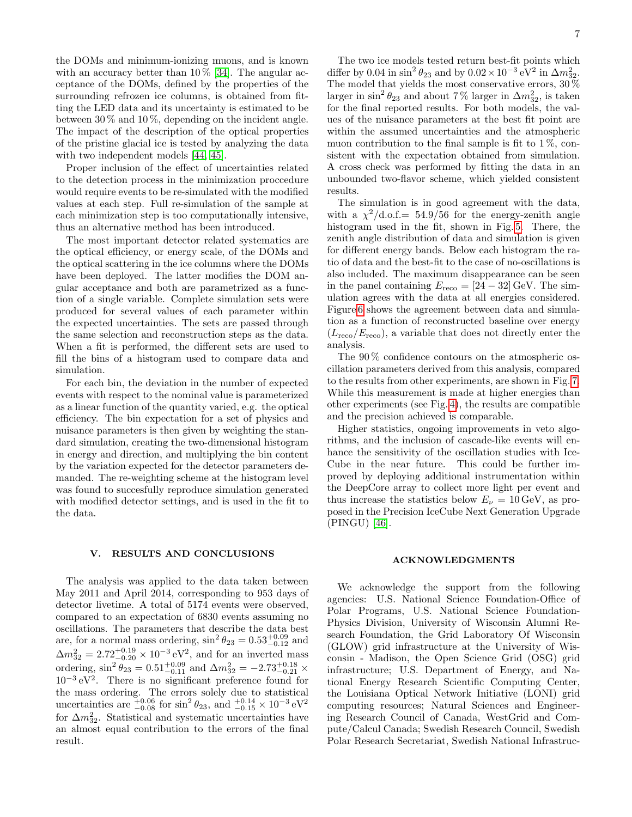the DOMs and minimum-ionizing muons, and is known with an accuracy better than  $10\%$  [\[34\]](#page-8-23). The angular acceptance of the DOMs, defined by the properties of the surrounding refrozen ice columns, is obtained from fitting the LED data and its uncertainty is estimated to be between  $30\%$  and  $10\%$ , depending on the incident angle. The impact of the description of the optical properties of the pristine glacial ice is tested by analyzing the data with two independent models [\[44,](#page-8-33) [45\]](#page-9-0).

Proper inclusion of the effect of uncertainties related to the detection process in the minimization proccedure would require events to be re-simulated with the modified values at each step. Full re-simulation of the sample at each minimization step is too computationally intensive, thus an alternative method has been introduced.

The most important detector related systematics are the optical efficiency, or energy scale, of the DOMs and the optical scattering in the ice columns where the DOMs have been deployed. The latter modifies the DOM angular acceptance and both are parametrized as a function of a single variable. Complete simulation sets were produced for several values of each parameter within the expected uncertainties. The sets are passed through the same selection and reconstruction steps as the data. When a fit is performed, the different sets are used to fill the bins of a histogram used to compare data and simulation.

For each bin, the deviation in the number of expected events with respect to the nominal value is parameterized as a linear function of the quantity varied, e.g. the optical efficiency. The bin expectation for a set of physics and nuisance parameters is then given by weighting the standard simulation, creating the two-dimensional histogram in energy and direction, and multiplying the bin content by the variation expected for the detector parameters demanded. The re-weighting scheme at the histogram level was found to succesfully reproduce simulation generated with modified detector settings, and is used in the fit to the data.

## V. RESULTS AND CONCLUSIONS

The analysis was applied to the data taken between May 2011 and April 2014, corresponding to 953 days of detector livetime. A total of 5174 events were observed, compared to an expectation of 6830 events assuming no oscillations. The parameters that describe the data best are, for a normal mass ordering,  $\sin^2 \theta_{23} = 0.53^{+0.09}_{-0.12}$  and  $\Delta m_{32}^2 = 2.72_{-0.20}^{+0.19} \times 10^{-3} \text{ eV}^2$ , and for an inverted mass ordering,  $\sin^2 \theta_{23} = 0.51^{+0.09}_{-0.11}$  and  $\Delta m_{32}^2 = -2.73^{+0.18}_{-0.21}$  × 10<sup>−</sup><sup>3</sup> eV<sup>2</sup> . There is no significant preference found for the mass ordering. The errors solely due to statistical uncertainties are  $_{-0.08}^{+0.06}$  for  $\sin^2 \theta_{23}$ , and  $_{-0.15}^{+0.14} \times 10^{-3}$  eV<sup>2</sup> for  $\Delta m_{32}^2$ . Statistical and systematic uncertainties have an almost equal contribution to the errors of the final result.

The two ice models tested return best-fit points which differ by 0.04 in  $\sin^2 \theta_{23}$  and by  $0.02 \times 10^{-3} \text{ eV}^2$  in  $\Delta m_{32}^2$ . The model that yields the most conservative errors,  $30\,\%$ larger in  $\sin^2 \theta_{23}$  and about 7% larger in  $\Delta m_{32}^2$ , is taken for the final reported results. For both models, the values of the nuisance parameters at the best fit point are within the assumed uncertainties and the atmospheric muon contribution to the final sample is fit to  $1\%$ , consistent with the expectation obtained from simulation. A cross check was performed by fitting the data in an unbounded two-flavor scheme, which yielded consistent results.

The simulation is in good agreement with the data, with a  $\chi^2/\text{d.o.f.} = 54.9/56$  for the energy-zenith angle histogram used in the fit, shown in Fig. [5.](#page-7-0) There, the zenith angle distribution of data and simulation is given for different energy bands. Below each histogram the ratio of data and the best-fit to the case of no-oscillations is also included. The maximum disappearance can be seen in the panel containing  $E_{\text{reco}} = [24 - 32] \text{ GeV}$ . The simulation agrees with the data at all energies considered. Figure [6](#page-7-1) shows the agreement between data and simulation as a function of reconstructed baseline over energy  $(L_{\text{reco}}/E_{\text{reco}})$ , a variable that does not directly enter the analysis.

The 90 % confidence contours on the atmospheric oscillation parameters derived from this analysis, compared to the results from other experiments, are shown in Fig. [7.](#page-7-2) While this measurement is made at higher energies than other experiments (see Fig. [4\)](#page-5-1), the results are compatible and the precision achieved is comparable.

Higher statistics, ongoing improvements in veto algorithms, and the inclusion of cascade-like events will enhance the sensitivity of the oscillation studies with Ice-Cube in the near future. This could be further improved by deploying additional instrumentation within the DeepCore array to collect more light per event and thus increase the statistics below  $E_{\nu} = 10 \,\text{GeV}$ , as proposed in the Precision IceCube Next Generation Upgrade (PINGU) [\[46\]](#page-9-1).

# ACKNOWLEDGMENTS

We acknowledge the support from the following agencies: U.S. National Science Foundation-Office of Polar Programs, U.S. National Science Foundation-Physics Division, University of Wisconsin Alumni Research Foundation, the Grid Laboratory Of Wisconsin (GLOW) grid infrastructure at the University of Wisconsin - Madison, the Open Science Grid (OSG) grid infrastructure; U.S. Department of Energy, and National Energy Research Scientific Computing Center, the Louisiana Optical Network Initiative (LONI) grid computing resources; Natural Sciences and Engineering Research Council of Canada, WestGrid and Compute/Calcul Canada; Swedish Research Council, Swedish Polar Research Secretariat, Swedish National Infrastruc-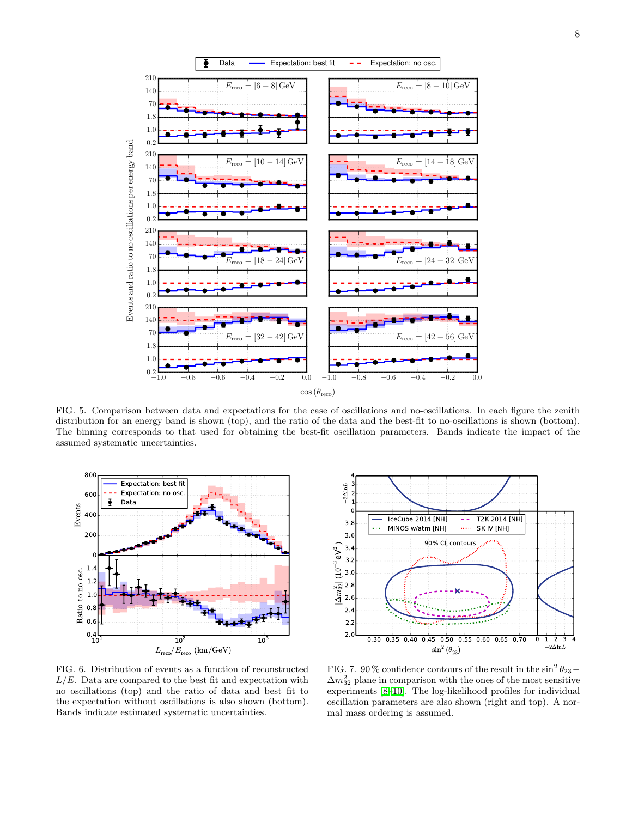

<span id="page-7-0"></span>FIG. 5. Comparison between data and expectations for the case of oscillations and no-oscillations. In each figure the zenith distribution for an energy band is shown (top), and the ratio of the data and the best-fit to no-oscillations is shown (bottom). The binning corresponds to that used for obtaining the best-fit oscillation parameters. Bands indicate the impact of the assumed systematic uncertainties.



<span id="page-7-1"></span>FIG. 6. Distribution of events as a function of reconstructed  $L/E$ . Data are compared to the best fit and expectation with no oscillations (top) and the ratio of data and best fit to the expectation without oscillations is also shown (bottom). Bands indicate estimated systematic uncertainties.



<span id="page-7-2"></span>FIG. 7. 90% confidence contours of the result in the  $\sin^2 \theta_{23}$  –  $\Delta m_{32}^2$  plane in comparison with the ones of the most sensitive experiments [\[8–](#page-8-7)[10\]](#page-8-2). The log-likelihood profiles for individual oscillation parameters are also shown (right and top). A normal mass ordering is assumed.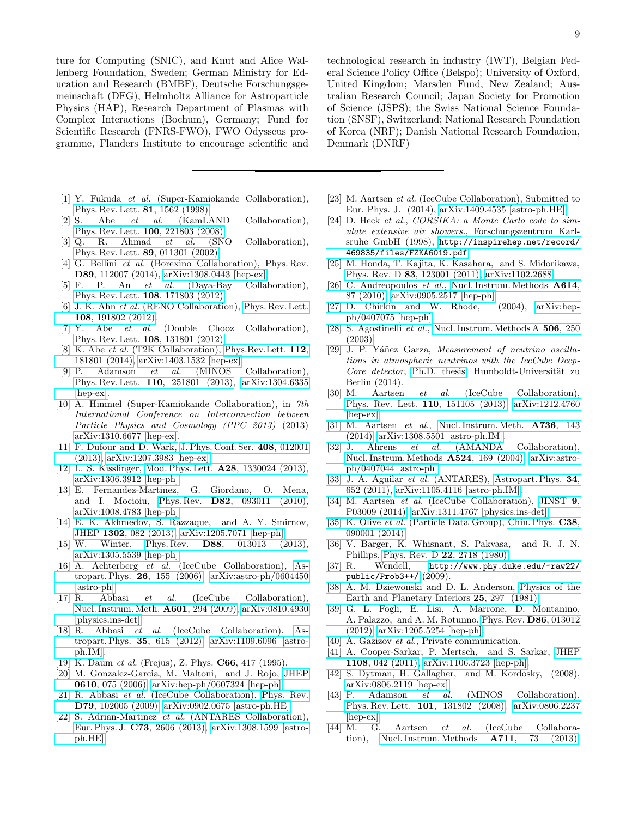ture for Computing (SNIC), and Knut and Alice Wallenberg Foundation, Sweden; German Ministry for Education and Research (BMBF), Deutsche Forschungsgemeinschaft (DFG), Helmholtz Alliance for Astroparticle Physics (HAP), Research Department of Plasmas with Complex Interactions (Bochum), Germany; Fund for Scientific Research (FNRS-FWO), FWO Odysseus programme, Flanders Institute to encourage scientific and

- <span id="page-8-0"></span>[1] Y. Fukuda et al. (Super-Kamiokande Collaboration), [Phys. Rev. Lett.](http://dx.doi.org/10.1103/PhysRevLett.81.1562) 81, 1562 (1998).
- <span id="page-8-1"></span>[2] S. Abe et al. (KamLAND Collaboration), [Phys. Rev. Lett.](http://dx.doi.org/10.1103/PhysRevLett.100.221803) 100, 221803 (2008).
- [3] Q. R. Ahmad et al. (SNO Collaboration), [Phys. Rev. Lett.](http://dx.doi.org/10.1103/PhysRevLett.89.011301) 89, 011301 (2002).
- [4] G. Bellini *et al.* (Borexino Collaboration), Phys. Rev. D89, 112007 (2014), [arXiv:1308.0443 \[hep-ex\].](http://arxiv.org/abs/1308.0443)
- [5] F. P. An et al. (Daya-Bay Collaboration), [Phys. Rev. Lett.](http://dx.doi.org/10.1103/PhysRevLett.108.171803) 108, 171803 (2012).
- [6] J. K. Ahn et al. (RENO Collaboration), [Phys. Rev. Lett.](http://dx.doi.org/10.1103/PhysRevLett.108.191802) 108[, 191802 \(2012\).](http://dx.doi.org/10.1103/PhysRevLett.108.191802)
- [7] Y. Abe et al. (Double Chooz Collaboration), [Phys. Rev. Lett.](http://dx.doi.org/10.1103/PhysRevLett.108.131801) 108, 131801 (2012).
- <span id="page-8-7"></span>[8] K. Abe et al. (T2K Collaboration), [Phys.Rev.Lett.](http://dx.doi.org/10.1103/PhysRevLett.112.181801) 112, [181801 \(2014\),](http://dx.doi.org/10.1103/PhysRevLett.112.181801) [arXiv:1403.1532 \[hep-ex\].](http://arxiv.org/abs/1403.1532)<br>[9] P. Adamson *et al.* (MINOS
- Adamson et al. (MINOS Collaboration), Phys. Rev. Lett. 110[, 251801 \(2013\),](http://dx.doi.org/10.1103/PhysRevLett.110.251801) [arXiv:1304.6335](http://arxiv.org/abs/1304.6335) [\[hep-ex\].](http://arxiv.org/abs/1304.6335)
- <span id="page-8-2"></span>[10] A. Himmel (Super-Kamiokande Collaboration), in 7th International Conference on Interconnection between Particle Physics and Cosmology (PPC 2013) (2013) [arXiv:1310.6677 \[hep-ex\].](http://arxiv.org/abs/1310.6677)
- <span id="page-8-3"></span>[11] F. Dufour and D. Wark, [J. Phys. Conf. Ser.](http://dx.doi.org/10.1088/1742-6596/408/1/012001) 408, 012001 [\(2013\),](http://dx.doi.org/10.1088/1742-6596/408/1/012001) [arXiv:1207.3983 \[hep-ex\].](http://arxiv.org/abs/1207.3983)
- <span id="page-8-4"></span>[12] L. S. Kisslinger, Mod. Phys. Lett. A28[, 1330024 \(2013\),](http://dx.doi.org/10.1142/S0217732313300243) [arXiv:1306.3912 \[hep-ph\].](http://arxiv.org/abs/1306.3912)
- <span id="page-8-5"></span>[13] E. Fernandez-Martinez, G. Giordano, O. Mena, and I. Mocioiu, Phys. Rev. D82[, 093011 \(2010\),](http://dx.doi.org/10.1103/PhysRevD.82.093011) [arXiv:1008.4783 \[hep-ph\].](http://arxiv.org/abs/1008.4783)
- [14] E. K. Akhmedov, S. Razzaque, and A. Y. Smirnov, JHEP 1302[, 082 \(2013\),](http://dx.doi.org/10.1007/JHEP02(2013)082, 10.1007/JHEP07(2013)026) [arXiv:1205.7071 \[hep-ph\].](http://arxiv.org/abs/1205.7071)
- <span id="page-8-6"></span>[15] W. Winter, Phys. Rev. D88[, 013013 \(2013\),](http://dx.doi.org/10.1103/PhysRevD.88.013013) [arXiv:1305.5539 \[hep-ph\].](http://arxiv.org/abs/1305.5539)
- <span id="page-8-8"></span>[16] A. Achterberg et al. (IceCube Collaboration), [As](http://dx.doi.org/10.1016/j.astropartphys.2006.06.007)[tropart. Phys.](http://dx.doi.org/10.1016/j.astropartphys.2006.06.007) 26, 155 (2006), [arXiv:astro-ph/0604450](http://arxiv.org/abs/astro-ph/0604450) [\[astro-ph\].](http://arxiv.org/abs/astro-ph/0604450)
- <span id="page-8-9"></span>[17] R. Abbasi et al. (IceCube Collaboration), [Nucl. Instrum. Meth.](http://dx.doi.org/10.1016/j.nima.2009.01.001) A601, 294 (2009), [arXiv:0810.4930](http://arxiv.org/abs/0810.4930) [\[physics.ins-det\].](http://arxiv.org/abs/0810.4930)
- <span id="page-8-10"></span>[18] R. Abbasi et al. (IceCube Collaboration), [As](http://dx.doi.org/10.1016/j.astropartphys.2012.01.004)[tropart. Phys.](http://dx.doi.org/10.1016/j.astropartphys.2012.01.004) 35, 615 (2012), [arXiv:1109.6096 \[astro](http://arxiv.org/abs/1109.6096)[ph.IM\].](http://arxiv.org/abs/1109.6096)
- <span id="page-8-11"></span>[19] K. Daum *et al.* (Frejus), Z. Phys. **C66**, 417 (1995).
- [20] M. Gonzalez-Garcia, M. Maltoni, and J. Rojo, [JHEP](http://dx.doi.org/10.1088/1126-6708/2006/10/075) 0610[, 075 \(2006\),](http://dx.doi.org/10.1088/1126-6708/2006/10/075) [arXiv:hep-ph/0607324 \[hep-ph\].](http://arxiv.org/abs/hep-ph/0607324)
- [21] R. Abbasi *et al.* (IceCube Collaboration), [Phys. Rev.](http://dx.doi.org/10.1103/PhysRevD.79.102005) D79[, 102005 \(2009\),](http://dx.doi.org/10.1103/PhysRevD.79.102005) [arXiv:0902.0675 \[astro-ph.HE\].](http://arxiv.org/abs/0902.0675)
- [22] S. Adrian-Martinez et al. (ANTARES Collaboration), Eur. Phys. J. C73[, 2606 \(2013\),](http://dx.doi.org/10.1140/epjc/s10052-013-2606-4) [arXiv:1308.1599 \[astro](http://arxiv.org/abs/1308.1599)[ph.HE\].](http://arxiv.org/abs/1308.1599)

technological research in industry (IWT), Belgian Federal Science Policy Office (Belspo); University of Oxford, United Kingdom; Marsden Fund, New Zealand; Australian Research Council; Japan Society for Promotion of Science (JSPS); the Swiss National Science Foundation (SNSF), Switzerland; National Research Foundation of Korea (NRF); Danish National Research Foundation, Denmark (DNRF)

- <span id="page-8-12"></span>[23] M. Aartsen et al. (IceCube Collaboration), Submitted to Eur. Phys. J. (2014), [arXiv:1409.4535 \[astro-ph.HE\].](http://arxiv.org/abs/1409.4535)
- <span id="page-8-13"></span>[24] D. Heck et al., CORSIKA: a Monte Carlo code to simulate extensive air showers., Forschungszentrum Karlsruhe GmbH (1998), [http://inspirehep.net/record/](http://inspirehep.net/record/469835/files/FZKA6019.pdf) [469835/files/FZKA6019.pdf](http://inspirehep.net/record/469835/files/FZKA6019.pdf).
- <span id="page-8-14"></span>[25] M. Honda, T. Kajita, K. Kasahara, and S. Midorikawa, Phys. Rev. D 83[, 123001 \(2011\),](http://dx.doi.org/10.1103/PhysRevD.83.123001) [arXiv:1102.2688.](http://arxiv.org/abs/1102.2688)
- <span id="page-8-15"></span>[26] C. Andreopoulos et al., [Nucl. Instrum. Methods](http://dx.doi.org/10.1016/j.nima.2009.12.009) **A614**, [87 \(2010\),](http://dx.doi.org/10.1016/j.nima.2009.12.009) [arXiv:0905.2517 \[hep-ph\].](http://arxiv.org/abs/0905.2517)
- <span id="page-8-16"></span>[27] D. Chirkin and W. Rhode, (2004), [arXiv:hep](http://arxiv.org/abs/hep-ph/0407075)[ph/0407075 \[hep-ph\].](http://arxiv.org/abs/hep-ph/0407075)
- <span id="page-8-17"></span>[28] S. Agostinelli et al., [Nucl. Instrum. Methods A](http://dx.doi.org/ 10.1016/S0168-9002(03)01368-8) 506, 250 [\(2003\).](http://dx.doi.org/ 10.1016/S0168-9002(03)01368-8)
- <span id="page-8-18"></span>[29] J. P. Yáñez Garza, Measurement of neutrino oscillations in atmospheric neutrinos with the IceCube Deep-Core detector, [Ph.D. thesis,](http://edoc.hu-berlin.de/docviews/abstract.php?id=40895) Humboldt-Universität zu Berlin (2014).
- <span id="page-8-19"></span>[30] M. Aartsen et al. (IceCube Collaboration), [Phys. Rev. Lett.](http://dx.doi.org/10.1103/PhysRevLett.110.151105) 110, 151105 (2013), [arXiv:1212.4760](http://arxiv.org/abs/1212.4760) [\[hep-ex\].](http://arxiv.org/abs/1212.4760)
- <span id="page-8-20"></span>[31] M. Aartsen et al., [Nucl. Instrum. Meth.](http://dx.doi.org/10.1016/j.nima.2013.10.074) A736, 143 [\(2014\),](http://dx.doi.org/10.1016/j.nima.2013.10.074) [arXiv:1308.5501 \[astro-ph.IM\].](http://arxiv.org/abs/1308.5501)
- <span id="page-8-21"></span>[32] J. Ahrens et al. (AMANDA Collaboration), [Nucl. Instrum. Methods](http://dx.doi.org/10.1016/j.nima.2004.01.065) A524, 169 (2004), [arXiv:astro](http://arxiv.org/abs/astro-ph/0407044)[ph/0407044 \[astro-ph\].](http://arxiv.org/abs/astro-ph/0407044)
- <span id="page-8-22"></span>[33] J. A. Aguilar et al. (ANTARES), [Astropart. Phys.](http://dx.doi.org/10.1016/j.astropartphys.2011.01.003) 34, [652 \(2011\),](http://dx.doi.org/10.1016/j.astropartphys.2011.01.003) [arXiv:1105.4116 \[astro-ph.IM\].](http://arxiv.org/abs/1105.4116)
- <span id="page-8-23"></span>[34] M. Aartsen et al. (IceCube Collaboration), [JINST](http://dx.doi.org/10.1088/1748-0221/9/03/P03009) 9, [P03009 \(2014\),](http://dx.doi.org/10.1088/1748-0221/9/03/P03009) [arXiv:1311.4767 \[physics.ins-det\].](http://arxiv.org/abs/1311.4767)
- <span id="page-8-24"></span>[35] K. Olive et al. (Particle Data Group), [Chin. Phys.](http://dx.doi.org/10.1088/1674-1137/38/9/090001) C38, [090001 \(2014\).](http://dx.doi.org/10.1088/1674-1137/38/9/090001)
- <span id="page-8-25"></span>[36] V. Barger, K. Whisnant, S. Pakvasa, and R. J. N. Phillips, [Phys. Rev. D](http://dx.doi.org/10.1103/PhysRevD.22.2718) 22, 2718 (1980).
- <span id="page-8-26"></span>[37] R. Wendell, [http://www.phy.duke.edu/~raw22/](http://www.phy.duke.edu/~raw22/public/Prob3++/) [public/Prob3++/](http://www.phy.duke.edu/~raw22/public/Prob3++/) (2009).
- <span id="page-8-27"></span>[38] A. M. Dziewonski and D. L. Anderson, [Physics of the](http://dx.doi.org/ http://dx.doi.org/10.1016/0031-9201(81)90046-7) [Earth and Planetary Interiors](http://dx.doi.org/ http://dx.doi.org/10.1016/0031-9201(81)90046-7) 25, 297 (1981).
- <span id="page-8-28"></span>[39] G. L. Fogli, E. Lisi, A. Marrone, D. Montanino, A. Palazzo, and A. M. Rotunno, [Phys. Rev.](http://dx.doi.org/ 10.1103/PhysRevD.86.013012) D86, 013012 [\(2012\),](http://dx.doi.org/ 10.1103/PhysRevD.86.013012) [arXiv:1205.5254 \[hep-ph\].](http://arxiv.org/abs/1205.5254)
- <span id="page-8-29"></span>[40] A. Gazizov et al., Private communication.
- <span id="page-8-30"></span>[41] A. Cooper-Sarkar, P. Mertsch, and S. Sarkar, [JHEP](http://dx.doi.org/10.1007/JHEP08(2011)042) 1108[, 042 \(2011\),](http://dx.doi.org/10.1007/JHEP08(2011)042) [arXiv:1106.3723 \[hep-ph\].](http://arxiv.org/abs/1106.3723)
- <span id="page-8-31"></span>[42] S. Dytman, H. Gallagher, and M. Kordosky, (2008), [arXiv:0806.2119 \[hep-ex\].](http://arxiv.org/abs/0806.2119)
- <span id="page-8-32"></span>[43] P. Adamson et al. (MINOS Collaboration), Phys. Rev. Lett. 101[, 131802 \(2008\),](http://dx.doi.org/10.1103/PhysRevLett.101.131802) [arXiv:0806.2237](http://arxiv.org/abs/0806.2237) [\[hep-ex\].](http://arxiv.org/abs/0806.2237)<br>[44] M. G.
- <span id="page-8-33"></span>G. Aartsen et al. (IceCube Collaboration), [Nucl. Instrum. Methods](http://dx.doi.org/10.1016/j.nima.2013.01.054) A711, 73 (2013),